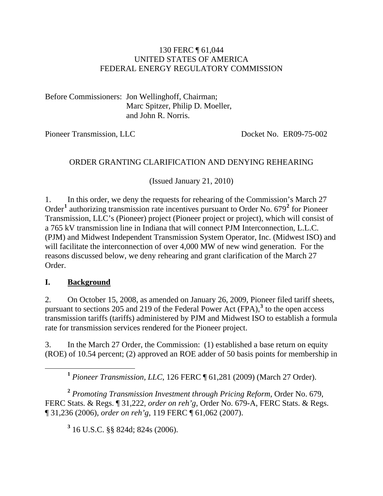#### 130 FERC ¶ 61,044 UNITED STATES OF AMERICA FEDERAL ENERGY REGULATORY COMMISSION

Before Commissioners: Jon Wellinghoff, Chairman; Marc Spitzer, Philip D. Moeller, and John R. Norris.

Pioneer Transmission, LLC Docket No. ER09-75-002

#### ORDER GRANTING CLARIFICATION AND DENYING REHEARING

(Issued January 21, 2010)

1. In this order, we deny the requests for rehearing of the Commission's March 27 Order<sup>[1](#page-0-0)</sup> authorizing transmission rate incentives pursuant to Order No. 679<sup>[2](#page-0-1)</sup> for Pioneer Transmission, LLC's (Pioneer) project (Pioneer project or project), which will consist of a 765 kV transmission line in Indiana that will connect PJM Interconnection, L.L.C. (PJM) and Midwest Independent Transmission System Operator, Inc. (Midwest ISO) and will facilitate the interconnection of over 4,000 MW of new wind generation. For the reasons discussed below, we deny rehearing and grant clarification of the March 27 Order.

#### **I. Background**

2. On October 15, 2008, as amended on January 26, 2009, Pioneer filed tariff sheets, pursuant to sections 205 and 219 of the Federal Power Act  $(FPA)$ ,<sup>[3](#page-0-2)</sup> to the open access transmission tariffs (tariffs) administered by PJM and Midwest ISO to establish a formula rate for transmission services rendered for the Pioneer project.

3. In the March 27 Order, the Commission: (1) established a base return on equity (ROE) of 10.54 percent; (2) approved an ROE adder of 50 basis points for membership in

**<sup>1</sup>** *Pioneer Transmission, LLC*, 126 FERC ¶ 61,281 (2009) (March 27 Order).

<span id="page-0-2"></span><span id="page-0-1"></span><span id="page-0-0"></span>**<sup>2</sup>** *Promoting Transmission Investment through Pricing Reform*, Order No. 679, FERC Stats. & Regs. ¶ 31,222, *order on reh'g*, Order No. 679-A, FERC Stats. & Regs. ¶ 31,236 (2006), *order on reh'g*, 119 FERC ¶ 61,062 (2007).

**3** 16 U.S.C. §§ 824d; 824s (2006).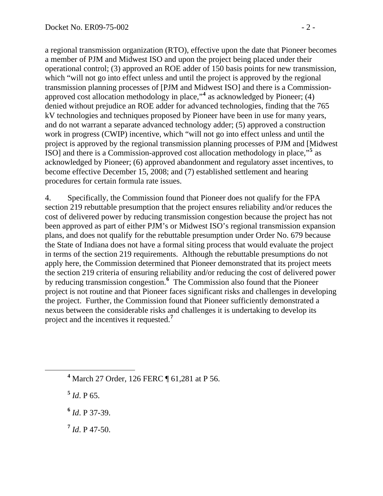a regional transmission organization (RTO), effective upon the date that Pioneer becomes a member of PJM and Midwest ISO and upon the project being placed under their operational control; (3) approved an ROE adder of 150 basis points for new transmission, which "will not go into effect unless and until the project is approved by the regional transmission planning processes of [PJM and Midwest ISO] and there is a Commissionapproved cost allocation methodology in place,"**<sup>4</sup>** as acknowledged by Pioneer; (4) denied without prejudice an ROE adder for advanced technologies, finding that the 7 65 kV technologies and techniques proposed by Pioneer have been in use for many years, and do not warrant a separate advanced technology adder; (5) approved a construction work in progress (CWIP) incentive, which "will not go into effect unless and until the project is approved by the regional transmission planning processes of PJM and [Midwest ISO] and there is a Commission-approved cost allocation methodology in place,"<sup>5</sup> as acknowledged by Pioneer; (6) approved abandonment and regulatory asset incentives, to become effective December 15, 2008; and (7) established settlement and hearing procedures for certain formula rate issues.

4. Specifically, the Commission found that Pioneer does not qualify for the FPA section 219 rebuttable presumption that the project ensures reliability and/or reduces the cost of delivered power by reducing transmission congestion because the project has not been approved as part of either PJM's or Midwest ISO's regional transmission expansion plans, and does not qualify for the rebuttable presumption under Order No. 679 because the State of Indiana does not have a formal siting process that would evaluate the project in terms of the section 219 requirements. Although the rebuttable presumptions do not apply here, the Commission determined that Pioneer demonstrated that its project meets the section 219 criteria of ensuring reliability and/or reducing the cost of delivered power by reducing transmission congestion.**[6](#page-1-0)** The Commission also found that the Pioneer project is not routine and that Pioneer faces significant risks and challenges in developing the project. Further, the Commission found that Pioneer sufficiently demonstrated a nexus between the considerable risks and challenges it is undertaking to develop its project and the incentives it requested.**[7](#page-1-1)**

**4** March 27 Order, 126 FERC ¶ 61,281 at P 56.

**<sup>5</sup>** *Id*. P 65.

<span id="page-1-0"></span> $\overline{a}$ 

**<sup>6</sup>** *Id*. P 37-39.

<span id="page-1-1"></span>**<sup>7</sup>** *Id*. P 47-50.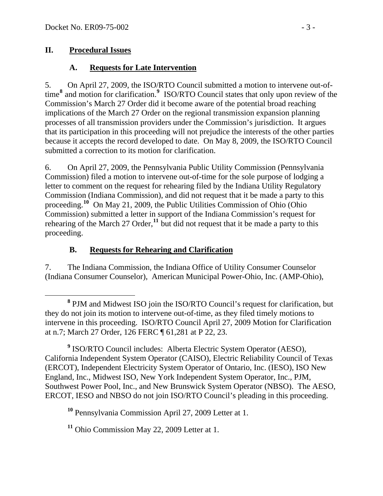### **II. Procedural Issues**

## **A. Requests for Late Intervention**

5. On April 27, 2009, the ISO/RTO Council submitted a motion to intervene out-oftime**[8](#page-2-0)** and motion for clarification.**[9](#page-2-1)** ISO/RTO Council states that only upon review of the Commission's March 27 Order did it become aware of the potential broad reaching implications of the March 27 Order on the regional transmission expansion planning processes of all transmission providers under the Commission's jurisdiction. It argues that its participation in this proceeding will not prejudice the interests of the other parties because it accepts the record developed to date. On May 8, 2009, the ISO/RTO Council submitted a correction to its motion for clarification.

6. On April 27, 2009, the Pennsylvania Public Utility Commission (Pennsylvania Commission) filed a motion to intervene out-of-time for the sole purpose of lodging a letter to comment on the request for rehearing filed by the Indiana Utility Regulatory Commission (Indiana Commission), and did not request that it be made a party to this proceeding.**[10](#page-2-2)** On May 21, 2009, the Public Utilities Commission of Ohio (Ohio Commission) submitted a letter in support of the Indiana Commission's request for rehearing of the March 27 Order,<sup>[11](#page-2-3)</sup> but did not request that it be made a party to this proceeding.

### **B. Requests for Rehearing and Clarification**

7. The Indiana Commission, the Indiana Office of Utility Consumer Counselor (Indiana Consumer Counselor), American Municipal Power-Ohio, Inc. (AMP-Ohio),

<span id="page-2-1"></span>**9** ISO/RTO Council includes: Alberta Electric System Operator (AESO), California Independent System Operator (CAISO), Electric Reliability Council of Texas (ERCOT), Independent Electricity System Operator of Ontario, Inc. (IESO), ISO New England, Inc., Midwest ISO, New York Independent System Operator, Inc., PJM, Southwest Power Pool, Inc., and New Brunswick System Operator (NBSO). The AESO, ERCOT, IESO and NBSO do not join ISO/RTO Council's pleading in this proceeding.

<span id="page-2-2"></span>**<sup>10</sup>** Pennsylvania Commission April 27, 2009 Letter at 1.

<span id="page-2-3"></span>**<sup>11</sup>** Ohio Commission May 22, 2009 Letter at 1.

<span id="page-2-0"></span>**<sup>8</sup>** <sup>8</sup> PJM and Midwest ISO join the ISO/RTO Council's request for clarification, but they do not join its motion to intervene out-of-time, as they filed timely motions to intervene in this proceeding. ISO/RTO Council April 27, 2009 Motion for Clarification at n.7; March 27 Order, 126 FERC ¶ 61,281 at P 22, 23.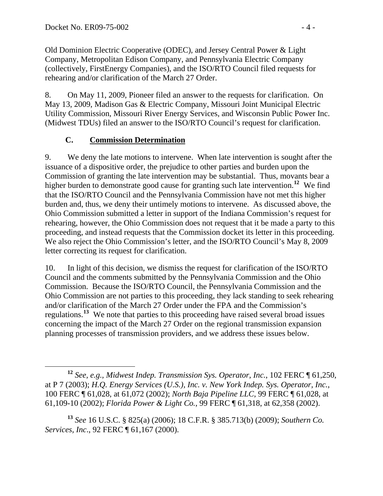Old Dominion Electric Cooperative (ODEC), and Jersey Central Power & Light Company, Metropolitan Edison Company, and Pennsylvania Electric Company (collectively, FirstEnergy Companies), and the ISO/RTO Council filed requests for rehearing and/or clarification of the March 27 Order.

8. On May 11, 2009, Pioneer filed an answer to the requests for clarification. On May 13, 2009, Madison Gas & Electric Company, Missouri Joint Municipal Electric Utility Commission, Missouri River Energy Services, and Wisconsin Public Power Inc. (Midwest TDUs) filed an answer to the ISO/RTO Council's request for clarification.

## **C. Commission Determination**

9. We deny the late motions to intervene. When late intervention is sought after the issuance of a dispositive order, the prejudice to other parties and burden upon the Commission of granting the late intervention may be substantial. Thus, movants bear a higher burden to demonstrate good cause for granting such late intervention.**[12](#page-3-0)** We find that the ISO/RTO Council and the Pennsylvania Commission have not met this higher burden and, thus, we deny their untimely motions to intervene. As discussed above, the Ohio Commission submitted a letter in support of the Indiana Commission's request for rehearing, however, the Ohio Commission does not request that it be made a party to this proceeding, and instead requests that the Commission docket its letter in this proceeding. We also reject the Ohio Commission's letter, and the ISO/RTO Council's May 8, 2009 letter correcting its request for clarification.

10. In light of this decision, we dismiss the request for clarification of the ISO/RTO Council and the comments submitted by the Pennsylvania Commission and the Ohio Commission. Because the ISO/RTO Council, the Pennsylvania Commission and the Ohio Commission are not parties to this proceeding, they lack standing to seek rehearing and/or clarification of the March 27 Order under the FPA and the Commission's regulations.**[13](#page-3-1)** We note that parties to this proceeding have raised several broad issues concerning the impact of the March 27 Order on the regional transmission expansion planning processes of transmission providers, and we address these issues below.

<span id="page-3-0"></span>**<sup>12</sup>** *See, e.g., Midwest Indep. Transmission Sys. Operator, Inc.*, 102 FERC ¶ 61,250, at P 7 (2003); *H.Q. Energy Services (U.S.), Inc. v. New York Indep. Sys. Operator, Inc.*, 100 FERC ¶ 61,028, at 61,072 (2002); *North Baja Pipeline LLC*, 99 FERC ¶ 61,028, at 61,109-10 (2002); *Florida Power & Light Co.*, 99 FERC ¶ 61,318, at 62,358 (2002).

<span id="page-3-1"></span>**<sup>13</sup>** *See* 16 U.S.C. § 825(a) (2006); 18 C.F.R. § 385.713(b) (2009); *Southern Co. Services, Inc*., 92 FERC ¶ 61,167 (2000).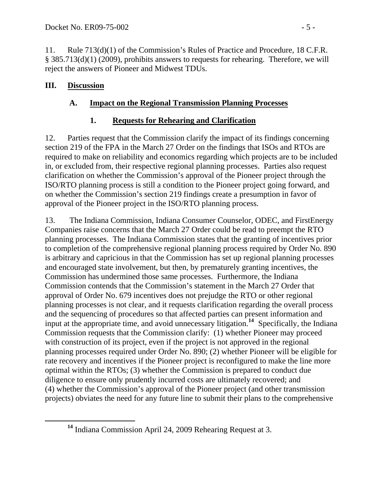11. Rule 713(d)(1) of the Commission's Rules of Practice and Procedure, 18 C.F.R. § 385.713(d)(1) (2009), prohibits answers to requests for rehearing. Therefore, we will reject the answers of Pioneer and Midwest TDUs.

## **III. Discussion**

# **A. Impact on the Regional Transmission Planning Processes**

# **1. Requests for Rehearing and Clarification**

12. Parties request that the Commission clarify the impact of its findings concerning section 219 of the FPA in the March 27 Order on the findings that ISOs and RTOs are required to make on reliability and economics regarding which projects are to be included in, or excluded from, their respective regional planning processes. Parties also request clarification on whether the Commission's approval of the Pioneer project through the ISO/RTO planning process is still a condition to the Pioneer project going forward, and on whether the Commission's section 219 findings create a presumption in favor of approval of the Pioneer project in the ISO/RTO planning process.

13. The Indiana Commission, Indiana Consumer Counselor, ODEC, and FirstEnergy Companies raise concerns that the March 27 Order could be read to preempt the RTO planning processes. The Indiana Commission states that the granting of incentives prior to completion of the comprehensive regional planning process required by Order No. 890 is arbitrary and capricious in that the Commission has set up regional planning processes and encouraged state involvement, but then, by prematurely granting incentives, the Commission has undermined those same processes. Furthermore, the Indiana Commission contends that the Commission's statement in the March 27 Order that approval of Order No. 679 incentives does not prejudge the RTO or other regional planning processes is not clear, and it requests clarification regarding the overall process and the sequencing of procedures so that affected parties can present information and input at the appropriate time, and avoid unnecessary litigation.**[14](#page-4-0)** Specifically, the Indiana Commission requests that the Commission clarify: (1) whether Pioneer may proceed with construction of its project, even if the project is not approved in the regional planning processes required under Order No. 890; (2) whether Pioneer will be eligible for rate recovery and incentives if the Pioneer project is reconfigured to make the line more optimal within the RTOs; (3) whether the Commission is prepared to conduct due diligence to ensure only prudently incurred costs are ultimately recovered; and (4) whether the Commission's approval of the Pioneer project (and other transmission projects) obviates the need for any future line to submit their plans to the comprehensive

<span id="page-4-0"></span>**<sup>14</sup>** Indiana Commission April 24, 2009 Rehearing Request at 3.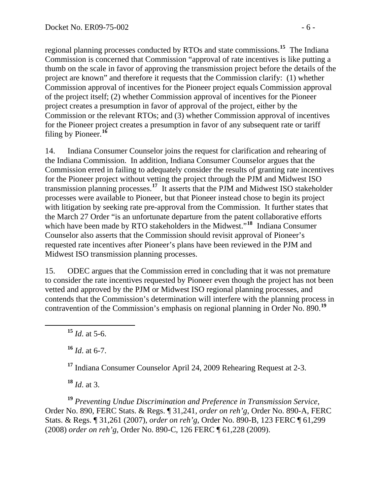regional planning processes conducted by RTOs and state commissions.**<sup>15</sup>** The Indiana Commission is concerned that Commission "approval of rate incentives is like putting a thumb on the scale in favor of approving the transmission project before the details of the project are known" and therefore it requests that the Commission clarify: (1) whether Commission approval of incentives for the Pioneer project equals Commission approval of the project itself; (2) whether Commission approval of incentives for the Pioneer project creates a presumption in favor of approval of the project, either by the Commission or the relevant RTOs; and (3) whether Commission approval of incentives for the Pioneer project creates a presumption in favor of any subsequent rate or tariff filing by Pioneer.**<sup>16</sup>**

14. Indiana Consumer Counselor joins the request for clarification and rehearing of the Indiana Commission. In addition, Indiana Consumer Counselor argues that the Commission erred in failing to adequately consider the results of granting rate incentives for the Pioneer project without vetting the project through the PJM and Midwest ISO transmission planning processes.**[17](#page-5-0)** It asserts that the PJM and Midwest ISO stakeholder processes were available to Pioneer, but that Pioneer instead chose to begin its project with litigation by seeking rate pre-approval from the Commission. It further states that the March 27 Order "is an unfortunate departure from the patent collaborative efforts which have been made by RTO stakeholders in the Midwest."<sup>[18](#page-5-1)</sup> Indiana Consumer Counselor also asserts that the Commission should revisit approval of Pioneer's requested rate incentives after Pioneer's plans have been reviewed in the PJM and Midwest ISO transmission planning processes.

15. ODEC argues that the Commission erred in concluding that it was not premature to consider the rate incentives requested by Pioneer even though the project has not been vetted and approved by the PJM or Midwest ISO regional planning processes, and contends that the Commission's determination will interfere with the planning process in contravention of the Commission's emphasis on regional planning in Order No. 890.<sup>[19](#page-5-2)</sup>

**<sup>15</sup>** *Id*. at 5-6.

 $^{16}$  *Id.* at 6-7.

**<sup>17</sup>** Indiana Consumer Counselor April 24, 2009 Rehearing Request at 2-3.

**<sup>18</sup>** *Id*. at 3.

<span id="page-5-2"></span><span id="page-5-1"></span><span id="page-5-0"></span>**<sup>19</sup>** *Preventing Undue Discrimination and Preference in Transmission Service*, Order No. 890, FERC Stats. & Regs. ¶ 31,241, *order on reh'g*, Order No. 890-A, FERC Stats. & Regs. ¶ 31,261 (2007), *order on reh'g*, Order No. 890-B, 123 FERC ¶ 61,299 (2008) *order on reh'g*, Order No. 890-C, 126 FERC ¶ 61,228 (2009).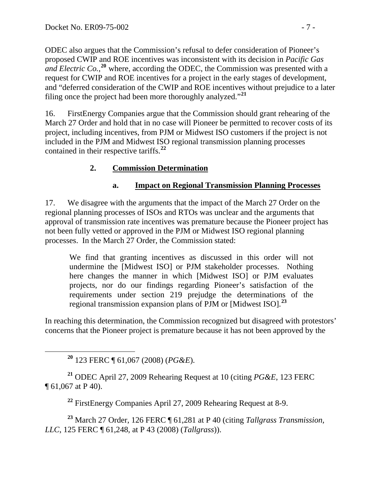ODEC also argues that the Commission's refusal to defer consideration of Pioneer's proposed CWIP and ROE incentives was inconsistent with its decision in *Pacific Gas and Electric Co.*<sup>20</sup> where, according the ODEC, the Commission was presented with a request for CWIP and ROE incentives for a project in the early stages of development, and "deferred consideration of the CWIP and ROE incentives without prejudice to a later filing once the project had been more thoroughly analyzed."**<sup>21</sup>**

16. FirstEnergy Companies argue that the Commission should grant rehearing of the March 27 Order and hold that in no case will Pioneer be permitted to recover costs of its project, including incentives, from PJM or Midwest ISO customers if the project is not included in the PJM and Midwest ISO regional transmission planning processes contained in their respective tariffs.**[22](#page-6-0)**

## **2. Commission Determination**

#### **a. Impact on Regional Transmission Planning Processes**

17. We disagree with the arguments that the impact of the March 27 Order on the regional planning processes of ISOs and RTOs was unclear and the arguments that approval of transmission rate incentives was premature because the Pioneer project has not been fully vetted or approved in the PJM or Midwest ISO regional planning processes. In the March 27 Order, the Commission stated:

We find that granting incentives as discussed in this order will not undermine the [Midwest ISO] or PJM stakeholder processes. Nothing here changes the manner in which [Midwest ISO] or PJM evaluates projects, nor do our findings regarding Pioneer's satisfaction of the requirements under section 219 prejudge the determinations of the regional transmission expansion plans of PJM or [Midwest ISO].**[23](#page-6-1)**

In reaching this determination, the Commission recognized but disagreed with protestors' concerns that the Pioneer project is premature because it has not been approved by the

**<sup>20</sup>** 123 FERC ¶ 61,067 (2008) (*PG&E*).

**<sup>21</sup>** ODEC April 27, 2009 Rehearing Request at 10 (citing *PG&E*, 123 FERC ¶ 61,067 at P 40).

**<sup>22</sup>** FirstEnergy Companies April 27, 2009 Rehearing Request at 8-9.

<span id="page-6-1"></span><span id="page-6-0"></span>**<sup>23</sup>** March 27 Order, 126 FERC ¶ 61,281 at P 40 (citing *Tallgrass Transmission, LLC*, 125 FERC ¶ 61,248, at P 43 (2008) (*Tallgrass*)).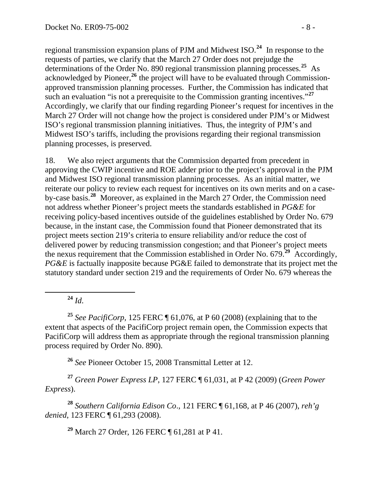regional transmission expansion plans of PJM and Midwest ISO.**[24](#page-7-0)** In response to the requests of parties, we clarify that the March 27 Order does not prejudge the determinations of the Order No. 890 regional transmission planning processes.**[25](#page-7-1)** As acknowledged by Pioneer,**[26](#page-7-2)** the project will have to be evaluated through Commissionapproved transmission planning processes. Further, the Commission has indicated that such an evaluation "is not a prerequisite to the Commission granting incentives."**[27](#page-7-3)** Accordingly, we clarify that our finding regarding Pioneer's request for incentives in the March 27 Order will not change how the project is considered under PJM's or Midwest ISO's regional transmission planning initiatives. Thus, the integrity of PJM's and Midwest ISO's tariffs, including the provisions regarding their regional transmission planning processes, is preserved.

18. We also reject arguments that the Commission departed from precedent in approving the CWIP incentive and ROE adder prior to the project's approval in the PJM and Midwest ISO regional transmission planning processes. As an initial matter, we reiterate our policy to review each request for incentives on its own merits and on a caseby-case basis.**[28](#page-7-4)** Moreover, as explained in the March 27 Order, the Commission need not address whether Pioneer's project meets the standards established in *PG&E* for receiving policy-based incentives outside of the guidelines established by Order No. 679 because, in the instant case, the Commission found that Pioneer demonstrated that its project meets section 219's criteria to ensure reliability and/or reduce the cost of delivered power by reducing transmission congestion; and that Pioneer's project meets the nexus requirement that the Commission established in Order No. 679.**[29](#page-7-5)** Accordingly, *PG&E* is factually inapposite because PG&E failed to demonstrate that its project met the statutory standard under section 219 and the requirements of Order No. 679 whereas the

**<sup>24</sup>** *Id*.

<span id="page-7-1"></span><span id="page-7-0"></span>**<sup>25</sup>** *See PacifiCorp*, 125 FERC ¶ 61,076, at P 60 (2008) (explaining that to the extent that aspects of the PacifiCorp project remain open, the Commission expects that PacifiCorp will address them as appropriate through the regional transmission planning process required by Order No. 890).

**<sup>26</sup>** *See* Pioneer October 15, 2008 Transmittal Letter at 12.

<span id="page-7-3"></span><span id="page-7-2"></span>**<sup>27</sup>** *Green Power Express LP*, 127 FERC ¶ 61,031, at P 42 (2009) (*Green Power Express*).

<span id="page-7-5"></span><span id="page-7-4"></span>**<sup>28</sup>** *Southern California Edison Co*., 121 FERC ¶ 61,168, at P 46 (2007), *reh'g denied*, 123 FERC ¶ 61,293 (2008).

**<sup>29</sup>** March 27 Order, 126 FERC ¶ 61,281 at P 41.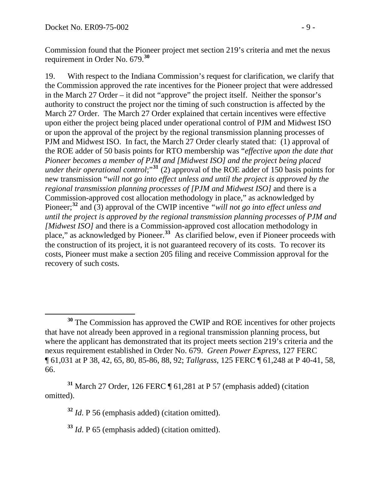Commission found that the Pioneer project met section 219's criteria and met the nexus requirement in Order No. 679.**<sup>30</sup>**

19. With respect to the Indiana Commission's request for clarification, we clarify that the Commission approved the rate incentives for the Pioneer project that were addressed in the March 27 Order – it did not "approve" the project itself. Neither the sponsor's authority to construct the project nor the timing of such construction is affected by the March 27 Order. The March 27 Order explained that certain incentives were effective upon either the project being placed under operational control of PJM and Midwest ISO or upon the approval of the project by the regional transmission planning processes of PJM and Midwest ISO. In fact, the March 27 Order clearly stated that: (1) approval of the ROE adder of 50 basis points for RTO membership was "*effective upon the date that Pioneer becomes a member of PJM and [Midwest ISO] and the project being placed under their operational control;*<sup>[31](#page-8-0)</sup> (2) approval of the ROE adder of 150 basis points for new transmission "*will not go into effect unless and until the project is approved by the regional transmission planning processes of [PJM and Midwest ISO]* and there is a Commission-approved cost allocation methodology in place," as acknowledged by Pioneer;**[32](#page-8-1)** and (3) approval of the CWIP incentive *"will not go into effect unless and until the project is approved by the regional transmission planning processes of PJM and [Midwest ISO]* and there is a Commission-approved cost allocation methodology in place," as acknowledged by Pioneer.<sup>[33](#page-8-2)</sup> As clarified below, even if Pioneer proceeds with the construction of its project, it is not guaranteed recovery of its costs. To recover its costs, Pioneer must make a section 205 filing and receive Commission approval for the recovery of such costs.

<span id="page-8-2"></span><span id="page-8-1"></span><span id="page-8-0"></span>**<sup>31</sup>** March 27 Order, 126 FERC ¶ 61,281 at P 57 (emphasis added) (citation omitted).

**<sup>32</sup>** *Id*. P 56 (emphasis added) (citation omitted).

**<sup>33</sup>** *Id*. P 65 (emphasis added) (citation omitted).

 $\overline{a}$ **<sup>30</sup>** The Commission has approved the CWIP and ROE incentives for other projects that have not already been approved in a regional transmission planning process, but where the applicant has demonstrated that its project meets section 219's criteria and the nexus requirement established in Order No. 679. *Green Power Express*, 127 FERC ¶ 61,031 at P 38, 42, 65, 80, 85-86, 88, 92; *Tallgrass*, 125 FERC ¶ 61,248 at P 40-41, 58, 66.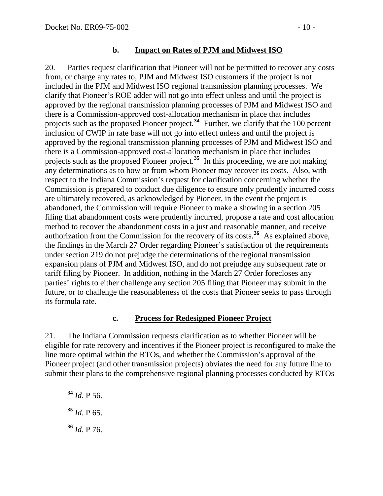#### **b. Impact on Rates of PJM and Midwest ISO**

20. Parties request clarification that Pioneer will not be permitted to recover any costs from, or charge any rates to, PJM and Midwest ISO customers if the project is not included in the PJM and Midwest ISO regional transmission planning processes. We clarify that Pioneer's ROE adder will not go into effect unless and until the project is approved by the regional transmission planning processes of PJM and Midwest ISO and there is a Commission-approved cost-allocation mechanism in place that includes projects such as the proposed Pioneer project.<sup>[34](#page-9-0)</sup> Further, we clarify that the 100 percent inclusion of CWIP in rate base will not go into effect unless and until the project is approved by the regional transmission planning processes of PJM and Midwest ISO and there is a Commission-approved cost-allocation mechanism in place that includes projects such as the proposed Pioneer project.**[35](#page-9-1)** In this proceeding, we are not making any determinations as to how or from whom Pioneer may recover its costs. Also, with respect to the Indiana Commission's request for clarification concerning whether the Commission is prepared to conduct due diligence to ensure only prudently incurred costs are ultimately recovered, as acknowledged by Pioneer, in the event the project is abandoned, the Commission will require Pioneer to make a showing in a section 205 filing that abandonment costs were prudently incurred, propose a rate and cost allocation method to recover the abandonment costs in a just and reasonable manner, and receive authorization from the Commission for the recovery of its costs.**[36](#page-9-2)** As explained above, the findings in the March 27 Order regarding Pioneer's satisfaction of the requirements under section 219 do not prejudge the determinations of the regional transmission expansion plans of PJM and Midwest ISO, and do not prejudge any subsequent rate or tariff filing by Pioneer. In addition, nothing in the March 27 Order forecloses any parties' rights to either challenge any section 205 filing that Pioneer may submit in the future, or to challenge the reasonableness of the costs that Pioneer seeks to pass through its formula rate.

#### **c. Process for Redesigned Pioneer Project**

21. The Indiana Commission requests clarification as to whether Pioneer will be eligible for rate recovery and incentives if the Pioneer project is reconfigured to make the line more optimal within the RTOs, and whether the Commission's approval of the Pioneer project (and other transmission projects) obviates the need for any future line to submit their plans to the comprehensive regional planning processes conducted by RTOs

<span id="page-9-2"></span><span id="page-9-1"></span><span id="page-9-0"></span> **<sup>34</sup>** *Id*. P 56. **<sup>35</sup>** *Id*. P 65. **<sup>36</sup>** *Id*. P 76.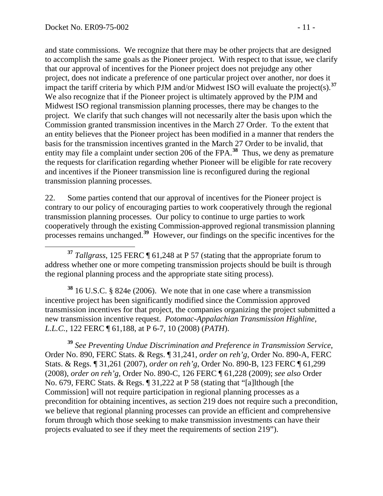and state commissions. We recognize that there may be other projects that are designed to accomplish the same goals as the Pioneer project. With respect to that issue, we clarify that our approval of incentives for the Pioneer project does not prejudge any other project, does not indicate a preference of one particular project over another, nor does it impact the tariff criteria by which PJM and/or Midwest ISO will evaluate the project(s).<sup>37</sup> We also recognize that if the Pioneer project is ultimately approved by the PJM and Midwest ISO regional transmission planning processes, there may be changes to the project. We clarify that such changes will not necessarily alter the basis upon which the Commission granted transmission incentives in the March 27 Order. To the extent that an entity believes that the Pioneer project has been modified in a manner that renders the basis for the transmission incentives granted in the March 27 Order to be invalid, that entity may file a complaint under section 206 of the FPA.<sup>38</sup> Thus, we deny as premature the requests for clarification regarding whether Pioneer will be eligible for rate recovery and incentives if the Pioneer transmission line is reconfigured during the regional transmission planning processes.

22. Some parties contend that our approval of incentives for the Pioneer project is contrary to our policy of encouraging parties to work cooperatively through the regional transmission planning processes. Our policy to continue to urge parties to work cooperatively through the existing Commission-approved regional transmission planning processes remains unchanged.**[39](#page-10-0)** However, our findings on the specific incentives for the

 **<sup>37</sup>** *Tallgrass*, 125 FERC ¶ 61,248 at P 57 (stating that the appropriate forum to address whether one or more competing transmission projects should be built is through the regional planning process and the appropriate state siting process).

**<sup>38</sup>** 16 U.S.C. § 824e (2006). We note that in one case where a transmission incentive project has been significantly modified since the Commission approved transmission incentives for that project, the companies organizing the project submitted a new transmission incentive request. *Potomac-Appalachian Transmission Highline, L.L.C.*, 122 FERC ¶ 61,188, at P 6-7, 10 (2008) (*PATH*).

<span id="page-10-0"></span>**<sup>39</sup>** *See Preventing Undue Discrimination and Preference in Transmission Service*, Order No. 890, FERC Stats. & Regs. ¶ 31,241, *order on reh'g*, Order No. 890-A, FERC Stats. & Regs. ¶ 31,261 (2007), *order on reh'g*, Order No. 890-B, 123 FERC ¶ 61,299 (2008), *order on reh'g*, Order No. 890-C, 126 FERC ¶ 61,228 (2009); *see also* Order No. 679, FERC Stats. & Regs. ¶ 31,222 at P 58 (stating that "[a]lthough [the Commission] will not require participation in regional planning processes as a precondition for obtaining incentives, as section 219 does not require such a precondition, we believe that regional planning processes can provide an efficient and comprehensive forum through which those seeking to make transmission investments can have their projects evaluated to see if they meet the requirements of section 219").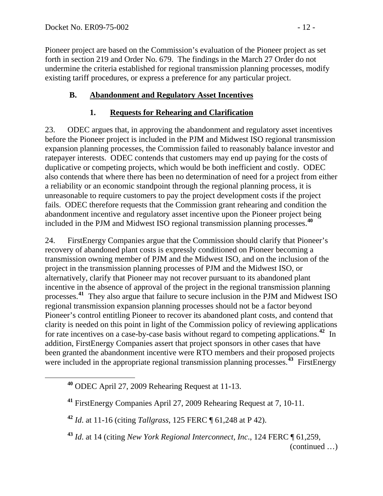Pioneer project are based on the Commission's evaluation of the Pioneer project as set forth in section 219 and Order No. 679. The findings in the March 27 Order do not undermine the criteria established for regional transmission planning processes, modify existing tariff procedures, or express a preference for any particular project.

## **B. Abandonment and Regulatory Asset Incentives**

## **1. Requests for Rehearing and Clarification**

23. ODEC argues that, in approving the abandonment and regulatory asset incentives before the Pioneer project is included in the PJM and Midwest ISO regional transmission expansion planning processes, the Commission failed to reasonably balance investor and ratepayer interests. ODEC contends that customers may end up paying for the costs of duplicative or competing projects, which would be both inefficient and costly. ODEC also contends that where there has been no determination of need for a project from either a reliability or an economic standpoint through the regional planning process, it is unreasonable to require customers to pay the project development costs if the project fails. ODEC therefore requests that the Commission grant rehearing and condition the abandonment incentive and regulatory asset incentive upon the Pioneer project being included in the PJM and Midwest ISO regional transmission planning processes.**[40](#page-11-0)**

24. FirstEnergy Companies argue that the Commission should clarify that Pioneer's recovery of abandoned plant costs is expressly conditioned on Pioneer becoming a transmission owning member of PJM and the Midwest ISO, and on the inclusion of the project in the transmission planning processes of PJM and the Midwest ISO, or alternatively, clarify that Pioneer may not recover pursuant to its abandoned plant incentive in the absence of approval of the project in the regional transmission planning processes.**[41](#page-11-1)** They also argue that failure to secure inclusion in the PJM and Midwest ISO regional transmission expansion planning processes should not be a factor beyond Pioneer's control entitling Pioneer to recover its abandoned plant costs, and contend that clarity is needed on this point in light of the Commission policy of reviewing applications for rate incentives on a case-by-case basis without regard to competing applications.**[42](#page-11-2)** In addition, FirstEnergy Companies assert that project sponsors in other cases that have been granted the abandonment incentive were RTO members and their proposed projects were included in the appropriate regional transmission planning processes.<sup>[43](#page-11-3)</sup> FirstEnergy

<span id="page-11-2"></span><span id="page-11-1"></span><span id="page-11-0"></span> $\overline{a}$ 

**<sup>40</sup>** ODEC April 27, 2009 Rehearing Request at 11-13.

**<sup>41</sup>** FirstEnergy Companies April 27, 2009 Rehearing Request at 7, 10-11.

**<sup>42</sup>** *Id*. at 11-16 (citing *Tallgrass*, 125 FERC ¶ 61,248 at P 42).

<span id="page-11-3"></span>**<sup>43</sup>** *Id*. at 14 (citing *New York Regional Interconnect, Inc*., 124 FERC ¶ 61,259,

<sup>(</sup>continued …)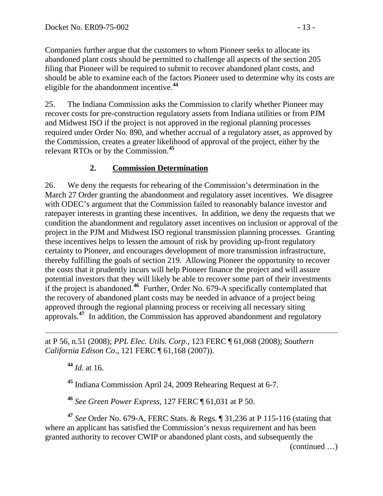Companies further argue that the customers to whom Pioneer seeks to allocate its abandoned plant costs should be permitted to challenge all aspects of the section 205 filing that Pioneer will be required to submit to recover abandoned plant costs, and should be able to examine each of the factors Pioneer used to determine why its costs are eligible for the abandonment incentive.**<sup>44</sup>**

25. The Indiana Commission asks the Commission to clarify whether Pioneer may recover costs for pre-construction regulatory assets from Indiana utilities or from PJM and Midwest ISO if the project is not approved in the regional planning processes required under Order No. 890, and whether accrual of a regulatory asset, as approved by the Commission, creates a greater likelihood of approval of the project, either by the relevant RTOs or by the Commission.**[45](#page-12-0)**

# **2. Commission Determination**

26. We deny the requests for rehearing of the Commission's determination in the March 27 Order granting the abandonment and regulatory asset incentives. We disagree with ODEC's argument that the Commission failed to reasonably balance investor and ratepayer interests in granting these incentives. In addition, we deny the requests that we condition the abandonment and regulatory asset incentives on inclusion or approval of the project in the PJM and Midwest ISO regional transmission planning processes. Granting these incentives helps to lessen the amount of risk by providing up-front regulatory certainty to Pioneer, and encourages development of more transmission infrastructure, thereby fulfilling the goals of section 219. Allowing Pioneer the opportunity to recover the costs that it prudently incurs will help Pioneer finance the project and will assure potential investors that they will likely be able to recover some part of their investments if the project is abandoned.**[46](#page-12-1)** Further, Order No. 679-A specifically contemplated that the recovery of abandoned plant costs may be needed in advance of a project being approved through the regional planning process or receiving all necessary siting approvals.<sup>[47](#page-12-2)</sup> In addition, the Commission has approved abandonment and regulatory

at P 56, n.51 (2008); *PPL Elec. Utils. Corp*., 123 FERC ¶ 61,068 (2008); *Southern California Edison Co*., 121 FERC ¶ 61,168 (2007)).

**<sup>44</sup>** *Id*. at 16.

**<sup>45</sup>** Indiana Commission April 24, 2009 Rehearing Request at 6-7.

**<sup>46</sup>** *See Green Power Express*, 127 FERC ¶ 61,031 at P 50.

<span id="page-12-2"></span><span id="page-12-1"></span><span id="page-12-0"></span>**<sup>47</sup>** *See* Order No. 679-A, FERC Stats. & Regs. ¶ 31,236 at P 115-116 (stating that where an applicant has satisfied the Commission's nexus requirement and has been granted authority to recover CWIP or abandoned plant costs, and subsequently the

(continued …)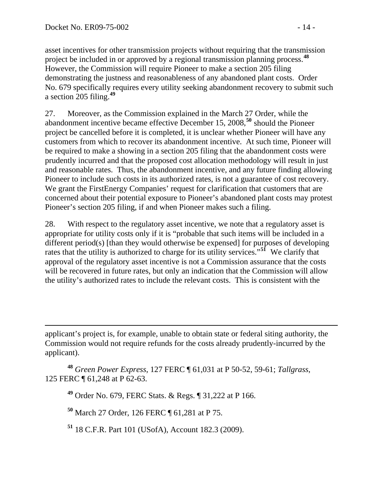$\overline{a}$ 

asset incentives for other transmission projects without requiring that the transmission project be included in or approved by a regional transmission planning process.**<sup>48</sup>** However, the Commission will require Pioneer to make a section 205 filing demonstrating the justness and reasonableness of any abandoned plant costs. Order No. 679 specifically requires every utility seeking abandonment recovery to submit such a section 205 filing.**<sup>49</sup>**

27. Moreover, as the Commission explained in the March 27 Order, while the abandonment incentive became effective December 15, 2008,**[50](#page-13-0)** should the Pioneer project be cancelled before it is completed, it is unclear whether Pioneer will have any customers from which to recover its abandonment incentive. At such time, Pioneer will be required to make a showing in a section 205 filing that the abandonment costs were prudently incurred and that the proposed cost allocation methodology will result in just and reasonable rates. Thus, the abandonment incentive, and any future finding allowing Pioneer to include such costs in its authorized rates, is not a guarantee of cost recovery. We grant the FirstEnergy Companies' request for clarification that customers that are concerned about their potential exposure to Pioneer's abandoned plant costs may protest Pioneer's section 205 filing, if and when Pioneer makes such a filing.

28. With respect to the regulatory asset incentive, we note that a regulatory asset is appropriate for utility costs only if it is "probable that such items will be included in a different period(s) [than they would otherwise be expensed] for purposes of developing rates that the utility is authorized to charge for its utility services."**[51](#page-13-1)** We clarify that approval of the regulatory asset incentive is not a Commission assurance that the costs will be recovered in future rates, but only an indication that the Commission will allow the utility's authorized rates to include the relevant costs. This is consistent with the

<span id="page-13-0"></span>**<sup>48</sup>** *Green Power Express*, 127 FERC ¶ 61,031 at P 50-52, 59-61; *Tallgrass*, 125 FERC ¶ 61,248 at P 62-63.

**<sup>49</sup>** Order No. 679, FERC Stats. & Regs. ¶ 31,222 at P 166.

**<sup>50</sup>** March 27 Order, 126 FERC ¶ 61,281 at P 75.

<span id="page-13-1"></span>**<sup>51</sup>** 18 C.F.R. Part 101 (USofA), Account 182.3 (2009).

applicant's project is, for example, unable to obtain state or federal siting authority, the Commission would not require refunds for the costs already prudently-incurred by the applicant).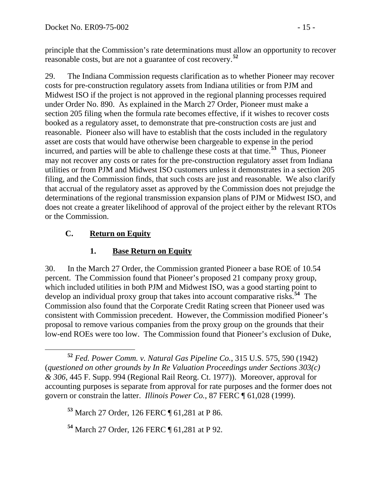principle that the Commission's rate determinations must allow an opportunity to recover reasonable costs, but are not a guarantee of cost recovery.**<sup>52</sup>**

29. The Indiana Commission requests clarification as to whether Pioneer may recover costs for pre-construction regulatory assets from Indiana utilities or from PJM and Midwest ISO if the project is not approved in the regional planning processes required under Order No. 890. As explained in the March 27 Order, Pioneer must make a section 205 filing when the formula rate becomes effective, if it wishes to recover costs booked as a regulatory asset, to demonstrate that pre-construction costs are just and reasonable. Pioneer also will have to establish that the costs included in the regulatory asset are costs that would have otherwise been chargeable to expense in the period incurred, and parties will be able to challenge these costs at that time.**[53](#page-14-0)** Thus, Pioneer may not recover any costs or rates for the pre-construction regulatory asset from Indiana utilities or from PJM and Midwest ISO customers unless it demonstrates in a section 205 filing, and the Commission finds, that such costs are just and reasonable. We also clarify that accrual of the regulatory asset as approved by the Commission does not prejudge the determinations of the regional transmission expansion plans of PJM or Midwest ISO, and does not create a greater likelihood of approval of the project either by the relevant RTOs or the Commission.

# **C. Return on Equity**

# **1. Base Return on Equity**

30. In the March 27 Order, the Commission granted Pioneer a base ROE of 10.54 percent. The Commission found that Pioneer's proposed 21 company proxy group, which included utilities in both PJM and Midwest ISO, was a good starting point to develop an individual proxy group that takes into account comparative risks.**[54](#page-14-1)** The Commission also found that the Corporate Credit Rating screen that Pioneer used was consistent with Commission precedent. However, the Commission modified Pioneer's proposal to remove various companies from the proxy group on the grounds that their low-end ROEs were too low. The Commission found that Pioneer's exclusion of Duke,

<span id="page-14-1"></span>**<sup>54</sup>** March 27 Order, 126 FERC ¶ 61,281 at P 92.

**<sup>52</sup>** *Fed. Power Comm. v. Natural Gas Pipeline Co.*, 315 U.S. 575, 590 (1942) (*questioned on other grounds by In Re Valuation Proceedings under Sections 303(c) & 306*, 445 F. Supp. 994 (Regional Rail Reorg. Ct. 1977)). Moreover, approval for accounting purposes is separate from approval for rate purposes and the former does not govern or constrain the latter. *Illinois Power Co.*, 87 FERC ¶ 61,028 (1999).

<span id="page-14-0"></span>**<sup>53</sup>** March 27 Order, 126 FERC ¶ 61,281 at P 86.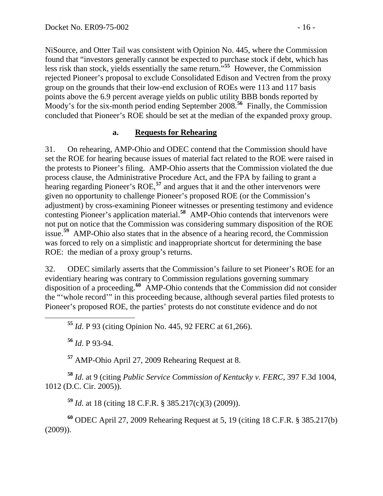NiSource, and Otter Tail was consistent with Opinion No. 445, where the Commission found that "investors generally cannot be expected to purchase stock if debt, which has less risk than stock, yields essentially the same return.<sup>555</sup> However, the Commission rejected Pioneer's proposal to exclude Consolidated Edison and Vectren from the proxy group on the grounds that their low-end exclusion of ROEs were 113 and 117 basis points above the 6.9 percent average yields on public utility BBB bonds reported by Moody's for the six-month period ending September 2008.**<sup>56</sup>** Finally, the Commission concluded that Pioneer's ROE should be set at the median of the expanded proxy group.

#### **a. Requests for Rehearing**

31. On rehearing, AMP-Ohio and ODEC contend that the Commission should have set the ROE for hearing because issues of material fact related to the ROE were raised in the protests to Pioneer's filing. AMP-Ohio asserts that the Commission violated the due process clause, the Administrative Procedure Act, and the FPA by failing to grant a hearing regarding Pioneer's ROE,<sup>[57](#page-15-0)</sup> and argues that it and the other intervenors were given no opportunity to challenge Pioneer's proposed ROE (or the Commission's adjustment) by cross-examining Pioneer witnesses or presenting testimony and evidence contesting Pioneer's application material.**[58](#page-15-1)** AMP-Ohio contends that intervenors were not put on notice that the Commission was considering summary disposition of the ROE issue.**[59](#page-15-2)** AMP-Ohio also states that in the absence of a hearing record, the Commission was forced to rely on a simplistic and inappropriate shortcut for determining the base ROE: the median of a proxy group's returns.

32. ODEC similarly asserts that the Commission's failure to set Pioneer's ROE for an evidentiary hearing was contrary to Commission regulations governing summary disposition of a proceeding.**[60](#page-15-3)** AMP-Ohio contends that the Commission did not consider the "'whole record'" in this proceeding because, although several parties filed protests to Pioneer's proposed ROE, the parties' protests do not constitute evidence and do not

**<sup>55</sup>** *Id*. P 93 (citing Opinion No. 445, 92 FERC at 61,266).

**<sup>56</sup>** *Id*. P 93-94.

**<sup>57</sup>** AMP-Ohio April 27, 2009 Rehearing Request at 8.

<span id="page-15-1"></span><span id="page-15-0"></span>**<sup>58</sup>** *Id*. at 9 (citing *Public Service Commission of Kentucky v. FERC*, 397 F.3d 1004, 1012 (D.C. Cir. 2005)).

**<sup>59</sup>** *Id*. at 18 (citing 18 C.F.R. § 385.217(c)(3) (2009)).

<span id="page-15-3"></span><span id="page-15-2"></span>**<sup>60</sup>** ODEC April 27, 2009 Rehearing Request at 5, 19 (citing 18 C.F.R. § 385.217(b) (2009)).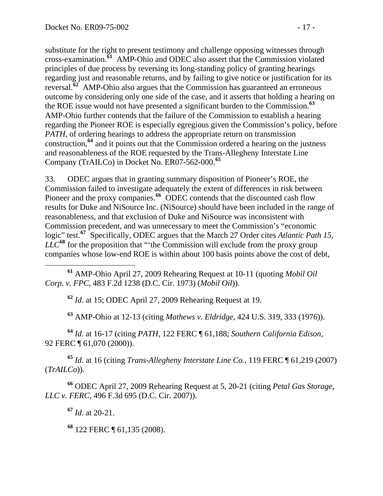substitute for the right to present testimony and challenge opposing witnesses through cross-examination.**<sup>61</sup>** AMP-Ohio and ODEC also assert that the Commission violated principles of due process by reversing its long-standing policy of granting hearings regarding just and reasonable returns, and by failing to give notice or justification for its reversal.**<sup>62</sup>** AMP-Ohio also argues that the Commission has guaranteed an erroneous outcome by considering only one side of the case, and it asserts that holding a hearing on the ROE issue would not have presented a significant burden to the Commission.**<sup>63</sup>** AMP-Ohio further contends that the failure of the Commission to establish a hearing regarding the Pioneer ROE is especially egregious given the Commission's policy, before *PATH*, of ordering hearings to address the appropriate return on transmission construction,**<sup>64</sup>** and it points out that the Commission ordered a hearing on the justness and reasonableness of the ROE requested by the Trans-Allegheny Interstate Line Company (TrAILCo) in Docket No. ER07-562-000.**<sup>65</sup>**

33. ODEC argues that in granting summary disposition of Pioneer's ROE, the Commission failed to investigate adequately the extent of differences in risk between Pioneer and the proxy companies.<sup>[66](#page-16-0)</sup> ODEC contends that the discounted cash flow results for Duke and NiSource Inc. (NiSource) should have been included in the range of reasonableness, and that exclusion of Duke and NiSource was inconsistent with Commission precedent, and was unnecessary to meet the Commission's "economic logic" test.**[67](#page-16-1)** Specifically, ODEC argues that the March 27 Order cites *Atlantic Path 15, LLC***[68](#page-16-2)** for the proposition that "'the Commission will exclude from the proxy group companies whose low-end ROE is within about 100 basis points above the cost of debt,

 **<sup>61</sup>** AMP-Ohio April 27, 2009 Rehearing Request at 10-11 (quoting *Mobil Oil Corp. v. FPC*, 483 F.2d 1238 (D.C. Cir. 1973) (*Mobil Oil*)).

**<sup>62</sup>** *Id*. at 15; ODEC April 27, 2009 Rehearing Request at 19.

**<sup>63</sup>** AMP-Ohio at 12-13 (citing *Mathews v. Eldridge*, 424 U.S. 319, 333 (1976)).

**<sup>64</sup>** *Id*. at 16-17 (citing *PATH*, 122 FERC ¶ 61,188; *Southern California Edison*, 92 FERC ¶ 61,070 (2000)).

**<sup>65</sup>** *Id*. at 16 (citing *Trans-Allegheny Interstate Line Co.*, 119 FERC ¶ 61,219 (2007) (*TrAILCo*)).

<span id="page-16-2"></span><span id="page-16-1"></span><span id="page-16-0"></span>**<sup>66</sup>** ODEC April 27, 2009 Rehearing Request at 5, 20-21 (citing *Petal Gas Storage, LLC v. FERC*, 496 F.3d 695 (D.C. Cir. 2007)).

**<sup>67</sup>** *Id*. at 20-21.

**<sup>68</sup>** 122 FERC ¶ 61,135 (2008).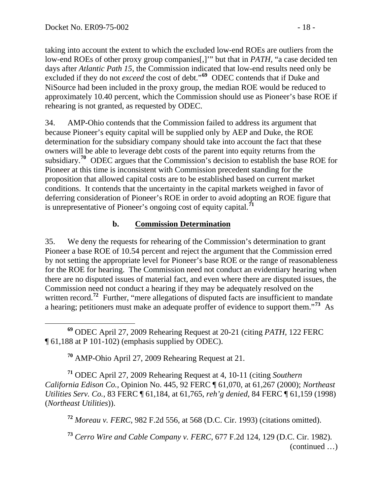taking into account the extent to which the excluded low-end ROEs are outliers from the low-end ROEs of other proxy group companies[,]'" but that in *PATH*, "a case decided ten days after *Atlantic Path 15*, the Commission indicated that low-end results need only be excluded if they do not *exceed* the cost of debt."**<sup>69</sup>** ODEC contends that if Duke and NiSource had been included in the proxy group, the median ROE would be reduced to approximately 10.40 percent, which the Commission should use as Pioneer's base ROE if rehearing is not granted, as requested by ODEC.

34. AMP-Ohio contends that the Commission failed to address its argument that because Pioneer's equity capital will be supplied only by AEP and Duke, the ROE determination for the subsidiary company should take into account the fact that these owners will be able to leverage debt costs of the parent into equity returns from the subsidiary.**[70](#page-17-0)** ODEC argues that the Commission's decision to establish the base ROE for Pioneer at this time is inconsistent with Commission precedent standing for the proposition that allowed capital costs are to be established based on current market conditions. It contends that the uncertainty in the capital markets weighed in favor of deferring consideration of Pioneer's ROE in order to avoid adopting an ROE figure that is unrepresentative of Pioneer's ongoing cost of equity capital.**[71](#page-17-1)**

## **b. Commission Determination**

35. We deny the requests for rehearing of the Commission's determination to grant Pioneer a base ROE of 10.54 percent and reject the argument that the Commission erred by not setting the appropriate level for Pioneer's base ROE or the range of reasonableness for the ROE for hearing. The Commission need not conduct an evidentiary hearing when there are no disputed issues of material fact, and even where there are disputed issues, the Commission need not conduct a hearing if they may be adequately resolved on the written record.<sup>[72](#page-17-2)</sup> Further, "mere allegations of disputed facts are insufficient to mandate a hearing; petitioners must make an adequate proffer of evidence to support them."**[73](#page-17-3)** As

 $\overline{a}$ **<sup>69</sup>** ODEC April 27, 2009 Rehearing Request at 20-21 (citing *PATH*, 122 FERC ¶ 61,188 at P 101-102) (emphasis supplied by ODEC).

**<sup>70</sup>** AMP-Ohio April 27, 2009 Rehearing Request at 21.

<span id="page-17-2"></span><span id="page-17-1"></span><span id="page-17-0"></span>**<sup>71</sup>** ODEC April 27, 2009 Rehearing Request at 4, 10-11 (citing *Southern California Edison Co.*, Opinion No. 445, 92 FERC ¶ 61,070, at 61,267 (2000); *Northeast Utilities Serv. Co.*, 83 FERC ¶ 61,184, at 61,765, *reh'g denied*, 84 FERC ¶ 61,159 (1998) (*Northeast Utilities*)).

**<sup>72</sup>** *Moreau v. FERC*, 982 F.2d 556, at 568 (D.C. Cir. 1993) (citations omitted).

<span id="page-17-3"></span>(continued …) **<sup>73</sup>** *Cerro Wire and Cable Company v. FERC*, 677 F.2d 124, 129 (D.C. Cir. 1982).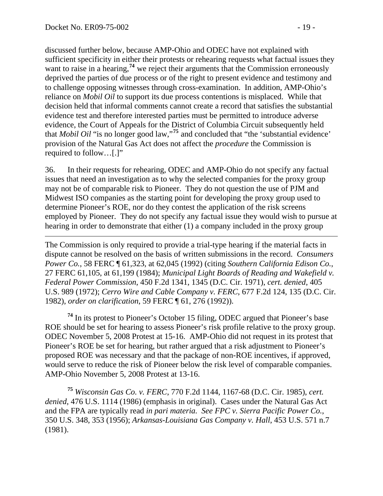$\overline{a}$ 

discussed further below, because AMP-Ohio and ODEC have not explained with sufficient specificity in either their protests or rehearing requests what factual issues they want to raise in a hearing,<sup>74</sup> we reject their arguments that the Commission erroneously deprived the parties of due process or of the right to present evidence and testimony and to challenge opposing witnesses through cross-examination. In addition, AMP-Ohio's reliance on *Mobil Oil* to support its due process contentions is misplaced. While that decision held that informal comments cannot create a record that satisfies the substantial evidence test and therefore interested parties must be permitted to introduce adverse evidence, the Court of Appeals for the District of Columbia Circuit subsequently held that *Mobil Oil* "is no longer good law,"**<sup>75</sup>** and concluded that "the 'substantial evidence' provision of the Natural Gas Act does not affect the *procedure* the Commission is required to follow…[.]"

36. In their requests for rehearing, ODEC and AMP-Ohio do not specify any factual issues that need an investigation as to why the selected companies for the proxy group may not be of comparable risk to Pioneer. They do not question the use of PJM and Midwest ISO companies as the starting point for developing the proxy group used to determine Pioneer's ROE, nor do they contest the application of the risk screens employed by Pioneer. They do not specify any factual issue they would wish to pursue at hearing in order to demonstrate that either (1) a company included in the proxy group

The Commission is only required to provide a trial-type hearing if the material facts in dispute cannot be resolved on the basis of written submissions in the record. *Consumers Power Co.*, 58 FERC ¶ 61,323, at 62,045 (1992) (citing *Southern California Edison Co.*, 27 FERC 61,105, at 61,199 (1984); *Municipal Light Boards of Reading and Wakefield v. Federal Power Commission*, 450 F.2d 1341, 1345 (D.C. Cir. 1971), *cert. denied*, 405 U.S. 989 (1972); *Cerro Wire and Cable Company v. FERC*, 677 F.2d 124, 135 (D.C. Cir. 1982), *order on clarification*, 59 FERC ¶ 61, 276 (1992)).

**<sup>74</sup>** In its protest to Pioneer's October 15 filing, ODEC argued that Pioneer's base ROE should be set for hearing to assess Pioneer's risk profile relative to the proxy group. ODEC November 5, 2008 Protest at 15-16. AMP-Ohio did not request in its protest that Pioneer's ROE be set for hearing, but rather argued that a risk adjustment to Pioneer's proposed ROE was necessary and that the package of non-ROE incentives, if approved, would serve to reduce the risk of Pioneer below the risk level of comparable companies. AMP-Ohio November 5, 2008 Protest at 13-16.

**<sup>75</sup>** *Wisconsin Gas Co. v. FERC*, 770 F.2d 1144, 1167-68 (D.C. Cir. 1985), *cert. denied*, 476 U.S. 1114 (1986) (emphasis in original). Cases under the Natural Gas Act and the FPA are typically read *in pari materia. See FPC v. Sierra Pacific Power Co.*, 350 U.S. 348, 353 (1956); *Arkansas-Louisiana Gas Company v. Hall*, 453 U.S. 571 n.7 (1981).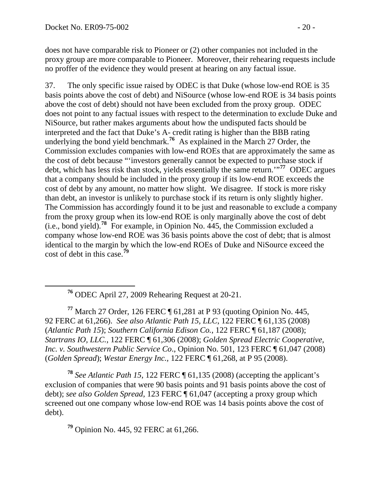does not have comparable risk to Pioneer or (2) other companies not included in the proxy group are more comparable to Pioneer. Moreover, their rehearing requests include no proffer of the evidence they would present at hearing on any factual issue.

37. The only specific issue raised by ODEC is that Duke (whose low-end ROE is 35 basis points above the cost of debt) and NiSource (whose low-end ROE is 34 basis points above the cost of debt) should not have been excluded from the proxy group. ODEC does not point to any factual issues with respect to the determination to exclude Duke and NiSource, but rather makes arguments about how the undisputed facts should be interpreted and the fact that Duke's A- credit rating is higher than the BBB rating underlying the bond yield benchmark.<sup>[76](#page-19-0)</sup> As explained in the March 27 Order, the Commission excludes companies with low-end ROEs that are approximately the same as the cost of debt because "'investors generally cannot be expected to purchase stock if debt, which has less risk than stock, yields essentially the same return.'"**[77](#page-19-1)** ODEC argues that a company should be included in the proxy group if its low-end ROE exceeds the cost of debt by any amount, no matter how slight. We disagree. If stock is more risky than debt, an investor is unlikely to purchase stock if its return is only slightly higher. The Commission has accordingly found it to be just and reasonable to exclude a company from the proxy group when its low-end ROE is only marginally above the cost of debt (i.e., bond yield).**[78](#page-19-2)** For example, in Opinion No. 445, the Commission excluded a company whose low-end ROE was 36 basis points above the cost of debt; that is almost identical to the margin by which the low-end ROEs of Duke and NiSource exceed the cost of debt in this case.**[79](#page-19-3)**

<span id="page-19-1"></span><span id="page-19-0"></span>**<sup>77</sup>** March 27 Order, 126 FERC ¶ 61,281 at P 93 (quoting Opinion No. 445, 92 FERC at 61,266). *See also Atlantic Path 15, LLC*, 122 FERC ¶ 61,135 (2008) (*Atlantic Path 15*); *Southern California Edison Co.*, 122 FERC ¶ 61,187 (2008); *Startrans IO, LLC.*, 122 FERC ¶ 61,306 (2008); *Golden Spread Electric Cooperative, Inc. v. Southwestern Public Service Co*., Opinion No. 501, 123 FERC ¶ 61,047 (2008) (*Golden Spread*); *Westar Energy Inc.,* 122 FERC ¶ 61,268, at P 95 (2008).

<span id="page-19-2"></span>**<sup>78</sup>** *See Atlantic Path 15*, 122 FERC ¶ 61,135 (2008) (accepting the applicant's exclusion of companies that were 90 basis points and 91 basis points above the cost of debt); *see also Golden Spread*, 123 FERC ¶ 61,047 (accepting a proxy group which screened out one company whose low-end ROE was 14 basis points above the cost of debt).

<span id="page-19-3"></span>**<sup>79</sup>** Opinion No. 445, 92 FERC at 61,266.

**<sup>76</sup>** ODEC April 27, 2009 Rehearing Request at 20-21.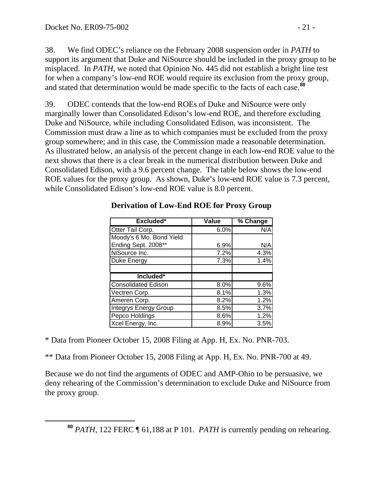38. We find ODEC's reliance on the February 2008 suspension order in *PATH* to support its argument that Duke and NiSource should be included in the proxy group to be misplaced. In *PATH*, we noted that Opinion No. 445 did not establish a bright line test for when a company's low-end ROE would require its exclusion from the proxy group, and stated that determination would be made specific to the facts of each case.**[80](#page-20-0)**

39. ODEC contends that the low-end ROEs of Duke and NiSource were only marginally lower than Consolidated Edison's low-end ROE, and therefore excluding Duke and NiSource, while including Consolidated Edison, was inconsistent. The Commission must draw a line as to which companies must be excluded from the proxy group somewhere; and in this case, the Commission made a reasonable determination. As illustrated below, an analysis of the percent change in each low-end ROE value to the next shows that there is a clear break in the numerical distribution between Duke and Consolidated Edison, with a 9.6 percent change. The table below shows the low-end ROE values for the proxy group. As shown, Duke's low-end ROE value is 7.3 percent, while Consolidated Edison's low-end ROE value is 8.0 percent.

| <b>Excluded*</b>             | Value | % Change |
|------------------------------|-------|----------|
| Otter Tail Corp.             | 6.0%  | N/A      |
| Moody's 6 Mo. Bond Yield     |       |          |
| Ending Sept. 2008**          | 6.9%  | N/A      |
| NiSource Inc.                | 7.2%  | 4.3%     |
| Duke Energy                  | 7.3%  | 1.4%     |
|                              |       |          |
| Included*                    |       |          |
| Consolidated Edison          | 8.0%  | 9.6%     |
| Vectren Corp.                | 8.1%  | 1.3%     |
| Ameren Corp.                 | 8.2%  | 1.2%     |
| <b>Integrys Energy Group</b> | 8.5%  | 3.7%     |
| Pepco Holdings               | 8.6%  | 1.2%     |
| Xcel Energy, Inc.            | 8.9%  | 3.5%     |

#### **Derivation of Low-End ROE for Proxy Group**

\* Data from Pioneer October 15, 2008 Filing at App. H, Ex. No. PNR-703.

\*\* Data from Pioneer October 15, 2008 Filing at App. H, Ex. No. PNR-700 at 49.

Because we do not find the arguments of ODEC and AMP-Ohio to be persuasive, we deny rehearing of the Commission's determination to exclude Duke and NiSource from the proxy group.

<span id="page-20-0"></span>**<sup>80</sup>** *PATH*, 122 FERC ¶ 61,188 at P 101. *PATH* is currently pending on rehearing.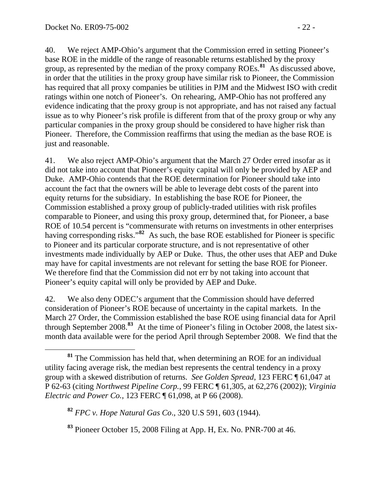40. We reject AMP-Ohio's argument that the Commission erred in setting Pioneer's base ROE in the middle of the range of reasonable returns established by the proxy group, as represented by the median of the proxy company ROEs.**[81](#page-21-0)** As discussed above, in order that the utilities in the proxy group have similar risk to Pioneer, the Commission has required that all proxy companies be utilities in PJM and the Midwest ISO with credit ratings within one notch of Pioneer's. On rehearing, AMP-Ohio has not proffered any evidence indicating that the proxy group is not appropriate, and has not raised any factual issue as to why Pioneer's risk profile is different from that of the proxy group or why any particular companies in the proxy group should be considered to have higher risk than Pioneer. Therefore, the Commission reaffirms that using the median as the base ROE is just and reasonable.

41. We also reject AMP-Ohio's argument that the March 27 Order erred insofar as it did not take into account that Pioneer's equity capital will only be provided by AEP and Duke. AMP-Ohio contends that the ROE determination for Pioneer should take into account the fact that the owners will be able to leverage debt costs of the parent into equity returns for the subsidiary. In establishing the base ROE for Pioneer, the Commission established a proxy group of publicly-traded utilities with risk profiles comparable to Pioneer, and using this proxy group, determined that, for Pioneer, a base ROE of 10.54 percent is "commensurate with returns on investments in other enterprises having corresponding risks."<sup>[82](#page-21-1)</sup> As such, the base ROE established for Pioneer is specific to Pioneer and its particular corporate structure, and is not representative of other investments made individually by AEP or Duke. Thus, the other uses that AEP and Duke may have for capital investments are not relevant for setting the base ROE for Pioneer. We therefore find that the Commission did not err by not taking into account that Pioneer's equity capital will only be provided by AEP and Duke.

42. We also deny ODEC's argument that the Commission should have deferred consideration of Pioneer's ROE because of uncertainty in the capital markets. In the March 27 Order, the Commission established the base ROE using financial data for April through September 2008.**[83](#page-21-2)** At the time of Pioneer's filing in October 2008, the latest sixmonth data available were for the period April through September 2008. We find that the

<span id="page-21-2"></span>**<sup>83</sup>** Pioneer October 15, 2008 Filing at App. H, Ex. No. PNR-700 at 46.

<span id="page-21-0"></span>**<sup>81</sup>** The Commission has held that, when determining an ROE for an individual utility facing average risk, the median best represents the central tendency in a proxy group with a skewed distribution of returns. *See Golden Spread*, 123 FERC ¶ 61,047 at P 62-63 (citing *Northwest Pipeline Corp.*, 99 FERC ¶ 61,305, at 62,276 (2002)); *Virginia Electric and Power Co.*, 123 FERC ¶ 61,098, at P 66 (2008).

<span id="page-21-1"></span>**<sup>82</sup>** *FPC v. Hope Natural Gas Co*., 320 U.S 591, 603 (1944).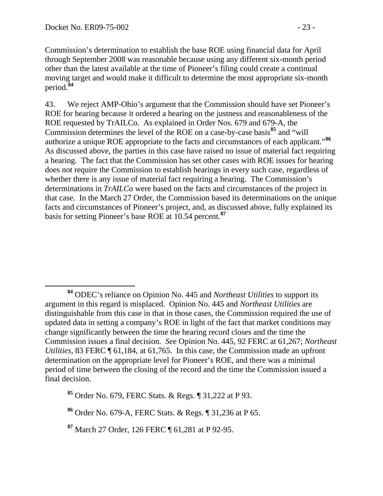Commission's determination to establish the base ROE using financial data for April through September 2008 was reasonable because using any different six-month period other than the latest available at the time of Pioneer's filing could create a continual moving target and would make it difficult to determine the most appropriate six-month period.**<sup>84</sup>**

43. We reject AMP-Ohio's argument that the Commission should have set Pioneer's ROE for hearing because it ordered a hearing on the justness and reasonableness of the ROE requested by TrAILCo. As explained in Order Nos. 679 and 679-A, the Commission determines the level of the ROE on a case-by-case basis**[85](#page-22-0)** and "will authorize a unique ROE appropriate to the facts and circumstances of each applicant."**[86](#page-22-1)** As discussed above, the parties in this case have raised no issue of material fact requiring a hearing. The fact that the Commission has set other cases with ROE issues for hearing does not require the Commission to establish hearings in every such case, regardless of whether there is any issue of material fact requiring a hearing. The Commission's determinations in *TrAILCo* were based on the facts and circumstances of the project in that case. In the March 27 Order, the Commission based its determinations on the unique facts and circumstances of Pioneer's project, and, as discussed above, fully explained its basis for setting Pioneer's base ROE at 10.54 percent.**[87](#page-22-2)**

**<sup>84</sup>** ODEC's reliance on Opinion No. 445 and *Northeast Utilities* to support its argument in this regard is misplaced. Opinion No. 445 and *Northeast Utilities* are distinguishable from this case in that in those cases, the Commission required the use of updated data in setting a company's ROE in light of the fact that market conditions may change significantly between the time the hearing record closes and the time the Commission issues a final decision. *See* Opinion No. 445, 92 FERC at 61,267; *Northeast Utilities*, 83 FERC  $\P$  61,184, at 61,765. In this case, the Commission made an upfront determination on the appropriate level for Pioneer's ROE, and there was a minimal period of time between the closing of the record and the time the Commission issued a final decision.

<span id="page-22-0"></span>**<sup>85</sup>** Order No. 679, FERC Stats. & Regs. ¶ 31,222 at P 93.

<span id="page-22-1"></span>**<sup>86</sup>** Order No. 679-A, FERC Stats. & Regs. ¶ 31,236 at P 65.

<span id="page-22-2"></span>**<sup>87</sup>** March 27 Order, 126 FERC ¶ 61,281 at P 92-95.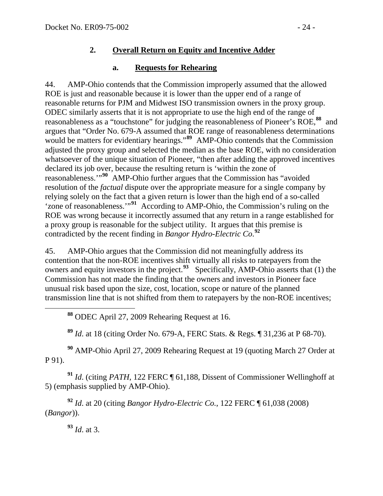## **2. Overall Return on Equity and Incentive Adder**

## **a. Requests for Rehearing**

44. AMP-Ohio contends that the Commission improperly assumed that the allowed ROE is just and reasonable because it is lower than the upper end of a range of reasonable returns for PJM and Midwest ISO transmission owners in the proxy group. ODEC similarly asserts that it is not appropriate to use the high end of the range of reasonableness as a "touchstone" for judging the reasonableness of Pioneer's ROE,**[88](#page-23-0)** and argues that "Order No. 679-A assumed that ROE range of reasonableness determinations would be matters for evidentiary hearings."<sup>[89](#page-23-1)</sup> AMP-Ohio contends that the Commission adjusted the proxy group and selected the median as the base ROE, with no consideration whatsoever of the unique situation of Pioneer, "then after adding the approved incentives declared its job over, because the resulting return is 'within the zone of reasonableness.'"**[90](#page-23-2)** AMP-Ohio further argues that the Commission has "avoided resolution of the *factual* dispute over the appropriate measure for a single company by relying solely on the fact that a given return is lower than the high end of a so-called 'zone of reasonableness.'"**[91](#page-23-3)** According to AMP-Ohio, the Commission's ruling on the ROE was wrong because it incorrectly assumed that any return in a range established for a proxy group is reasonable for the subject utility. It argues that this premise is contradicted by the recent finding in *Bangor Hydro-Electric Co*. **[92](#page-23-4)**

45. AMP-Ohio argues that the Commission did not meaningfully address its contention that the non-ROE incentives shift virtually all risks to ratepayers from the owners and equity investors in the project.**[93](#page-23-5)** Specifically, AMP-Ohio asserts that (1) the Commission has not made the finding that the owners and investors in Pioneer face unusual risk based upon the size, cost, location, scope or nature of the planned transmission line that is not shifted from them to ratepayers by the non-ROE incentives;

**<sup>88</sup>** ODEC April 27, 2009 Rehearing Request at 16.

**<sup>89</sup>** *Id*. at 18 (citing Order No. 679-A, FERC Stats. & Regs. ¶ 31,236 at P 68-70).

<span id="page-23-2"></span><span id="page-23-1"></span><span id="page-23-0"></span>**<sup>90</sup>** AMP-Ohio April 27, 2009 Rehearing Request at 19 (quoting March 27 Order at P 91).

<span id="page-23-3"></span>**<sup>91</sup>** *Id*. (citing *PATH*, 122 FERC ¶ 61,188, Dissent of Commissioner Wellinghoff at 5) (emphasis supplied by AMP-Ohio).

<span id="page-23-5"></span><span id="page-23-4"></span>**<sup>92</sup>** *Id*. at 20 (citing *Bangor Hydro-Electric Co.*, 122 FERC ¶ 61,038 (2008) (*Bangor*)).

**<sup>93</sup>** *Id*. at 3.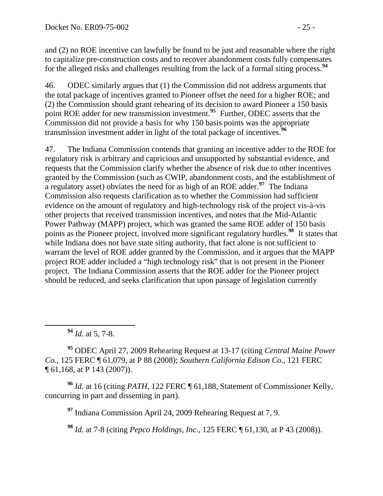and (2) no ROE incentive can lawfully be found to be just and reasonable where the right to capitalize pre-construction costs and to recover abandonment costs fully compensates for the alleged risks and challenges resulting from the lack of a formal siting process.**<sup>94</sup>**

46. ODEC similarly argues that (1) the Commission did not address arguments that the total package of incentives granted to Pioneer offset the need for a higher ROE; and (2) the Commission should grant rehearing of its decision to award Pioneer a 150 basis point ROE adder for new transmission investment.**[95](#page-24-0)** Further, ODEC asserts that the Commission did not provide a basis for why 150 basis points was the appropriate transmission investment adder in light of the total package of incentives.**[96](#page-24-1)**

47. The Indiana Commission contends that granting an incentive adder to the ROE for regulatory risk is arbitrary and capricious and unsupported by substantial evidence, and requests that the Commission clarify whether the absence of risk due to other incentives granted by the Commission (such as CWIP, abandonment costs, and the establishment of a regulatory asset) obviates the need for as high of an ROE adder.**[97](#page-24-2)** The Indiana Commission also requests clarification as to whether the Commission had sufficient evidence on the amount of regulatory and high-technology risk of the project vis-à-vis other projects that received transmission incentives, and notes that the Mid-Atlantic Power Pathway (MAPP) project, which was granted the same ROE adder of 150 basis points as the Pioneer project, involved more significant regulatory hurdles.**[98](#page-24-3)** It states that while Indiana does not have state siting authority, that fact alone is not sufficient to warrant the level of ROE adder granted by the Commission, and it argues that the MAPP project ROE adder included a "high technology risk" that is not present in the Pioneer project. The Indiana Commission asserts that the ROE adder for the Pioneer project should be reduced, and seeks clarification that upon passage of legislation currently

**<sup>94</sup>** *Id*. at 5, 7-8.

<span id="page-24-0"></span>**<sup>95</sup>** ODEC April 27, 2009 Rehearing Request at 13-17 (citing *Central Maine Power Co.*, 125 FERC ¶ 61,079, at P 88 (2008); *Southern California Edison Co.*, 121 FERC ¶ 61,168, at P 143 (2007)).

<span id="page-24-3"></span><span id="page-24-2"></span><span id="page-24-1"></span>**<sup>96</sup>** *Id*. at 16 (citing *PATH*, 122 FERC ¶ 61,188, Statement of Commissioner Kelly, concurring in part and dissenting in part).

**<sup>97</sup>** Indiana Commission April 24, 2009 Rehearing Request at 7, 9.

**<sup>98</sup>** *Id*. at 7-8 (citing *Pepco Holdings, Inc.*, 125 FERC ¶ 61,130, at P 43 (2008)).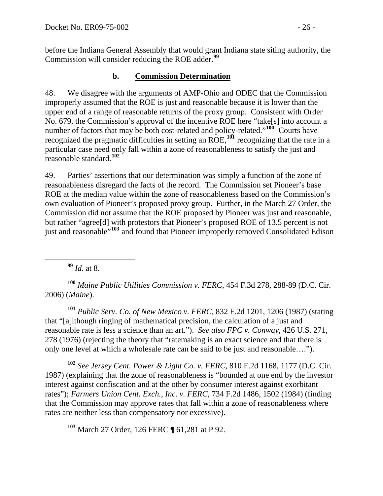before the Indiana General Assembly that would grant Indiana state siting authority, the Commission will consider reducing the ROE adder.**<sup>99</sup>**

### **b. Commission Determination**

48. We disagree with the arguments of AMP-Ohio and ODEC that the Commission improperly assumed that the ROE is just and reasonable because it is lower than the upper end of a range of reasonable returns of the proxy group. Consistent with Order No. 679, the Commission's approval of the incentive ROE here "take[s] into account a number of factors that may be both cost-related and policy-related."<sup>[100](#page-25-0)</sup> Courts have recognized the pragmatic difficulties in setting an ROE,**[101](#page-25-1)** recognizing that the rate in a particular case need only fall within a zone of reasonableness to satisfy the just and reasonable standard.**[102](#page-25-2)**

49. Parties' assertions that our determination was simply a function of the zone of reasonableness disregard the facts of the record. The Commission set Pioneer's base ROE at the median value within the zone of reasonableness based on the Commission's own evaluation of Pioneer's proposed proxy group. Further, in the March 27 Order, the Commission did not assume that the ROE proposed by Pioneer was just and reasonable, but rather "agree[d] with protestors that Pioneer's proposed ROE of 13.5 percent is not just and reasonable"**[103](#page-25-3)** and found that Pioneer improperly removed Consolidated Edison

**<sup>99</sup>** *Id*. at 8.

<span id="page-25-0"></span>**<sup>100</sup>** *Maine Public Utilities Commission v. FERC*, 454 F.3d 278, 288-89 (D.C. Cir. 2006) (*Maine*).

<span id="page-25-1"></span>**<sup>101</sup>** *Public Serv. Co. of New Mexico v. FERC*, 832 F.2d 1201, 1206 (1987) (stating that "[a]lthough ringing of mathematical precision, the calculation of a just and reasonable rate is less a science than an art."). *See also FPC v. Conway*, 426 U.S. 271, 278 (1976) (rejecting the theory that "ratemaking is an exact science and that there is only one level at which a wholesale rate can be said to be just and reasonable….").

<span id="page-25-2"></span>**<sup>102</sup>** *See Jersey Cent. Power & Light Co. v. FERC*, 810 F.2d 1168, 1177 (D.C. Cir. 1987) (explaining that the zone of reasonableness is "bounded at one end by the investor interest against confiscation and at the other by consumer interest against exorbitant rates"); *Farmers Union Cent. Exch., Inc. v. FERC*, 734 F.2d 1486, 1502 (1984) (finding that the Commission may approve rates that fall within a zone of reasonableness where rates are neither less than compensatory nor excessive).

<span id="page-25-3"></span>**<sup>103</sup>** March 27 Order, 126 FERC ¶ 61,281 at P 92.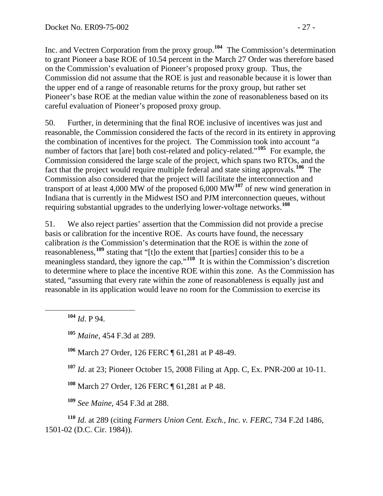Inc. and Vectren Corporation from the proxy group.**<sup>104</sup>** The Commission's determination to grant Pioneer a base ROE of 10.54 percent in the March 27 Order was therefore based on the Commission's evaluation of Pioneer's proposed proxy group. Thus, the Commission did not assume that the ROE is just and reasonable because it is lower than the upper end of a range of reasonable returns for the proxy group, but rather set Pioneer's base ROE at the median value within the zone of reasonableness based on its careful evaluation of Pioneer's proposed proxy group.

50. Further, in determining that the final ROE inclusive of incentives was just and reasonable, the Commission considered the facts of the record in its entirety in approving the combination of incentives for the project. The Commission took into account "a number of factors that [are] both cost-related and policy-related."**[105](#page-26-0)** For example, the Commission considered the large scale of the project, which spans two RTOs, and the fact that the project would require multiple federal and state siting approvals.**[106](#page-26-1)** The Commission also considered that the project will facilitate the interconnection and transport of at least 4,000 MW of the proposed 6,000 MW**[107](#page-26-2)** of new wind generation in Indiana that is currently in the Midwest ISO and PJM interconnection queues, without requiring substantial upgrades to the underlying lower-voltage networks.**[108](#page-26-3)**

51. We also reject parties' assertion that the Commission did not provide a precise basis or calibration for the incentive ROE. As courts have found, the necessary calibration *is* the Commission's determination that the ROE is within the zone of reasonableness,**[109](#page-26-4)** stating that "[t]o the extent that [parties] consider this to be a meaningless standard, they ignore the cap."<sup>[110](#page-26-5)</sup> It is within the Commission's discretion to determine where to place the incentive ROE within this zone. As the Commission ha s stated, "assuming that every rate within the zone of reasonableness is equally just and reasonable in its application would leave no room for the Commission to exercise its

**<sup>104</sup>** *Id*. P 94.

<span id="page-26-0"></span>**<sup>105</sup>** *Maine*, 454 F.3d at 289.

<span id="page-26-1"></span>**<sup>106</sup>** March 27 Order, 126 FERC ¶ 61,281 at P 48-49.

<span id="page-26-2"></span>**<sup>107</sup>** *Id*. at 23; Pioneer October 15, 2008 Filing at App. C, Ex. PNR-200 at 10-11.

**<sup>108</sup>** March 27 Order, 126 FERC ¶ 61,281 at P 48.

**<sup>109</sup>** *See Maine*, 454 F.3d at 288.

<span id="page-26-5"></span><span id="page-26-4"></span><span id="page-26-3"></span>**<sup>110</sup>** *Id*. at 289 (citing *Farmers Union Cent. Exch., Inc. v. FERC*, 734 F.2d 1486, 1501-02 (D.C. Cir. 1984)).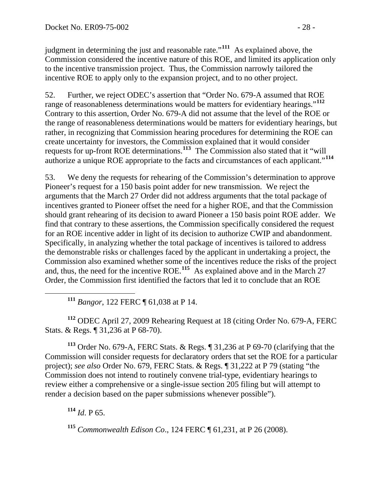judgment in determining the just and reasonable rate."**<sup>111</sup>** As explained above, the Commission considered the incentive nature of this ROE, and limited its application only to the incentive transmission project. Thus, the Commission narrowly tailored the incentive ROE to apply only to the expansion project, and to no other project.

52. Further, we reject ODEC's assertion that "Order No. 679-A assumed that ROE range of reasonableness determinations would be matters for evidentiary hearings."**[112](#page-27-0)** Contrary to this assertion, Order No. 679-A did not assume that the level of the ROE or the range of reasonableness determinations would be matters for evidentiary hearings, but rather, in recognizing that Commission hearing procedures for determining the ROE can create uncertainty for investors, the Commission explained that it would consider requests for up-front ROE determinations.**[113](#page-27-1)** The Commission also stated that it "will authorize a unique ROE appropriate to the facts and circumstances of each applicant."**[114](#page-27-2)**

53. We deny the requests for rehearing of the Commission's determination to approve Pioneer's request for a 150 basis point adder for new transmission. We reject the arguments that the March 27 Order did not address arguments that the total package of incentives granted to Pioneer offset the need for a higher ROE, and that the Commission should grant rehearing of its decision to award Pioneer a 150 basis point ROE adder. We find that contrary to these assertions, the Commission specifically considered the request for an ROE incentive adder in light of its decision to authorize CWIP and abandonment. Specifically, in analyzing whether the total package of incentives is tailored to address the demonstrable risks or challenges faced by the applicant in undertaking a project, the Commission also examined whether some of the incentives reduce the risks of the project and, thus, the need for the incentive ROE.**[115](#page-27-3)** As explained above and in the March 27 Order, the Commission first identified the factors that led it to conclude that an ROE

**<sup>111</sup>** *Bangor*, 122 FERC ¶ 61,038 at P 14.

<span id="page-27-0"></span>**<sup>112</sup>** ODEC April 27, 2009 Rehearing Request at 18 (citing Order No. 679-A, FERC Stats. & Regs. ¶ 31,236 at P 68-70).

<span id="page-27-1"></span>**<sup>113</sup>** Order No. 679-A, FERC Stats. & Regs. ¶ 31,236 at P 69-70 (clarifying that the Commission will consider requests for declaratory orders that set the ROE for a particular project); *see also* Order No. 679, FERC Stats. & Regs. ¶ 31,222 at P 79 (stating "the Commission does not intend to routinely convene trial-type, evidentiary hearings to review either a comprehensive or a single-issue section 205 filing but will attempt to render a decision based on the paper submissions whenever possible").

<span id="page-27-2"></span>**<sup>114</sup>** *Id*. P 65.

<span id="page-27-3"></span>**<sup>115</sup>** *Commonwealth Edison Co*., 124 FERC ¶ 61,231, at P 26 (2008).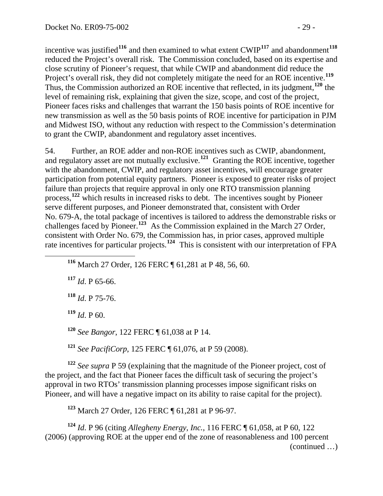incentive was justified<sup>116</sup> and then examined to what extent  $\text{CWIP}^{117}$  and abandonment<sup>118</sup> reduced the Project's overall risk. The Commission concluded, based on its expertise and close scrutiny of Pioneer's request, that while CWIP and abandonment did reduce the Project's overall risk, they did not completely mitigate the need for an ROE incentive.<sup>119</sup> Thus, the Commission authorized an ROE incentive that reflected, in its judgment,**<sup>120</sup>** the level of remaining risk, explaining that given the size, scope, and cost of the project, Pioneer faces risks and challenges that warrant the 150 basis points of ROE incentive for new transmission as well as the 50 basis points of ROE incentive for participation in PJM and Midwest ISO, without any reduction with respect to the Commission's determination to grant the CWIP, abandonment and regulatory asset incentives.

54. Further, an ROE adder and non-ROE incentives such as CWIP, abandonment, and regulatory asset are not mutually exclusive.**[121](#page-28-0)** Granting the ROE incentive, together with the abandonment, CWIP, and regulatory asset incentives, will encourage greater participation from potential equity partners. Pioneer is exposed to greater risks of project failure than projects that require approval in only one RTO transmission planning process,<sup>[122](#page-28-1)</sup> which results in increased risks to debt. The incentives sought by Pioneer serve different purposes, and Pioneer demonstrated that, consistent with Order No. 679-A, the total package of incentives is tailored to address the demonstrable risks or challenges faced by Pioneer.**[123](#page-28-2)** As the Commission explained in the March 27 Order, consistent with Order No. 679, the Commission has, in prior cases, approved multiple rate incentives for particular projects.**[124](#page-28-3)** This is consistent with our interpretation of FPA

**<sup>116</sup>** March 27 Order, 126 FERC ¶ 61,281 at P 48, 56, 60.

**<sup>117</sup>** *Id*. P 65-66.

 $\overline{a}$ 

**<sup>118</sup>** *Id*. P 75-76.

**<sup>119</sup>** *Id*. P 60.

**<sup>120</sup>** *See Bangor*, 122 FERC ¶ 61,038 at P 14.

**<sup>121</sup>** *See PacifiCorp*, 125 FERC ¶ 61,076, at P 59 (2008).

<span id="page-28-1"></span><span id="page-28-0"></span>**<sup>122</sup>** *See supra* P 59 (explaining that the magnitude of the Pioneer project, cost of the project, and the fact that Pioneer faces the difficult task of securing the project's approval in two RTOs' transmission planning processes impose significant risks on Pioneer, and will have a negative impact on its ability to raise capital for the project).

**<sup>123</sup>** March 27 Order, 126 FERC ¶ 61,281 at P 96-97.

<span id="page-28-3"></span><span id="page-28-2"></span>(continued …) **<sup>124</sup>** *Id*. P 96 (citing *Allegheny Energy, Inc.*, 116 FERC ¶ 61,058, at P 60, 122 (2006) (approving ROE at the upper end of the zone of reasonableness and 100 percent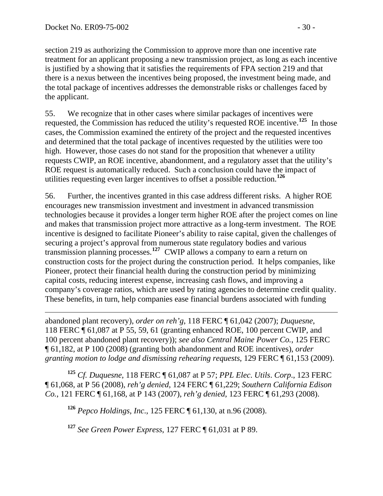$\overline{a}$ 

section 219 as authorizing the Commission to approve more than one incentive rate treatment for an applicant proposing a new transmission project, as long as each incentive is justified by a showing that it satisfies the requirements of FPA section 219 and that there is a nexus between the incentives being proposed, the investment being made, and the total package of incentives addresses the demonstrable risks or challenges faced by the applicant.

55. We recognize that in other cases where similar packages of incentives were requested, the Commission has reduced the utility's requested ROE incentive.**[125](#page-29-0)** In those cases, the Commission examined the entirety of the project and the requested incentives and determined that the total package of incentives requested by the utilities were too high. However, those cases do not stand for the proposition that whenever a utility requests CWIP, an ROE incentive, abandonment, and a regulatory asset that the utility's ROE request is automatically reduced. Such a conclusion could have the impact of utilities requesting even larger incentives to offset a possible reduction.**[126](#page-29-1)**

56. Further, the incentives granted in this case address different risks. A higher ROE encourages new transmission investment and investment in advanced transmission technologies because it provides a longer term higher ROE after the project comes on line and makes that transmission project more attractive as a long-term investment. The ROE incentive is designed to facilitate Pioneer's ability to raise capital, given the challenges of securing a project's approval from numerous state regulatory bodies and various transmission planning processes.**[127](#page-29-2)** CWIP allows a company to earn a return on construction costs for the project during the construction period. It helps companies, like Pioneer, protect their financial health during the construction period by minimizing capital costs, reducing interest expense, increasing cash flows, and improving a company's coverage ratios, which are used by rating agencies to determine credit quality. These benefits, in turn, help companies ease financial burdens associated with funding

abandoned plant recovery), *order on reh'g*, 118 FERC ¶ 61,042 (2007); *Duquesne*, 118 FERC ¶ 61,087 at P 55, 59, 61 (granting enhanced ROE, 100 percent CWIP, and 100 percent abandoned plant recovery)); *see also Central Maine Power Co.*, 125 FERC ¶ 61,182, at P 100 (2008) (granting both abandonment and ROE incentives), *order granting motion to lodge and dismissing rehearing requests*, 129 FERC ¶ 61,153 (2009).

<span id="page-29-1"></span><span id="page-29-0"></span>**<sup>125</sup>** *Cf. Duquesne*, 118 FERC ¶ 61,087 at P 57; *PPL Elec*. *Utils*. *Corp*., 123 FERC ¶ 61,068, at P 56 (2008), *reh'g denied*, 124 FERC ¶ 61,229; *Southern California Edison Co.*, 121 FERC ¶ 61,168, at P 143 (2007), *reh'g denied*, 123 FERC ¶ 61,293 (2008).

**<sup>126</sup>** *Pepco Holdings, Inc*., 125 FERC ¶ 61,130, at n.96 (2008).

<span id="page-29-2"></span>**<sup>127</sup>** *See Green Power Express*, 127 FERC ¶ 61,031 at P 89.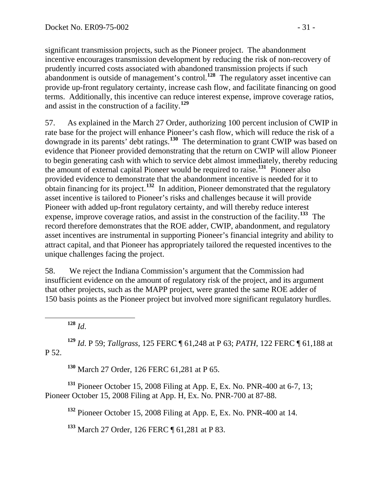significant transmission projects, such as the Pioneer project. The abandonment incentive encourages transmission development by reducing the risk of non-recovery of prudently incurred costs associated with abandoned transmission projects if such abandonment is outside of management's control.**<sup>128</sup>** The regulatory asset incentive can provide up-front regulatory certainty, increase cash flow, and facilitate financing on good terms. Additionally, this incentive can reduce interest expense, improve coverage ratios, and assist in the construction of a facility.**<sup>129</sup>**

57. As explained in the March 27 Order, authorizing 100 percent inclusion of CWIP in rate base for the project will enhance Pioneer's cash flow, which will reduce the risk of a downgrade in its parents' debt ratings.**[130](#page-30-0)** The determination to grant CWIP was based on evidence that Pioneer provided demonstrating that the return on CWIP will allow Pioneer to begin generating cash with which to service debt almost immediately, thereby reducing the amount of external capital Pioneer would be required to raise.**[131](#page-30-1)** Pioneer also provided evidence to demonstrate that the abandonment incentive is needed for it to obtain financing for its project.**[132](#page-30-2)** In addition, Pioneer demonstrated that the regulatory asset incentive is tailored to Pioneer's risks and challenges because it will provide Pioneer with added up-front regulatory certainty, and will thereby reduce interest expense, improve coverage ratios, and assist in the construction of the facility.**[133](#page-30-3)** The record therefore demonstrates that the ROE adder, CWIP, abandonment, and regulatory asset incentives are instrumental in supporting Pioneer's financial integrity and ability to attract capital, and that Pioneer has appropriately tailored the requested incentives to the unique challenges facing the project.

58. We reject the Indiana Commission's argument that the Commission had insufficient evidence on the amount of regulatory risk of the project, and its argument that other projects, such as the MAPP project, were granted the same ROE adder of 150 basis points as the Pioneer project but involved more significant regulatory hurdles.

**<sup>128</sup>** *Id*.

**<sup>129</sup>** *Id*. P 59; *Tallgrass*, 125 FERC ¶ 61,248 at P 63; *PATH*, 122 FERC ¶ 61,188 at P 52.

**<sup>130</sup>** March 27 Order, 126 FERC 61,281 at P 65.

<span id="page-30-3"></span><span id="page-30-2"></span><span id="page-30-1"></span><span id="page-30-0"></span>**<sup>131</sup>** Pioneer October 15, 2008 Filing at App. E, Ex. No. PNR-400 at 6-7, 13; Pioneer October 15, 2008 Filing at App. H, Ex. No. PNR-700 at 87-88.

**<sup>132</sup>** Pioneer October 15, 2008 Filing at App. E, Ex. No. PNR-400 at 14.

**<sup>133</sup>** March 27 Order, 126 FERC ¶ 61,281 at P 83.